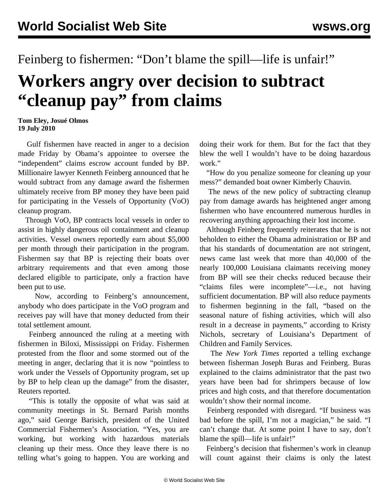## Feinberg to fishermen: "Don't blame the spill—life is unfair!"

## **Workers angry over decision to subtract "cleanup pay" from claims**

## **Tom Eley, Josué Olmos 19 July 2010**

 Gulf fishermen have reacted in anger to a decision made Friday by Obama's appointee to oversee the "independent" claims escrow account funded by BP. Millionaire lawyer Kenneth Feinberg announced that he would subtract from any damage award the fishermen ultimately receive from BP money they have been paid for participating in the Vessels of Opportunity (VoO) cleanup program.

 Through VoO, BP contracts local vessels in order to assist in highly dangerous oil containment and cleanup activities. Vessel owners reportedly earn about \$5,000 per month through their participation in the program. Fishermen say that BP is rejecting their boats over arbitrary requirements and that even among those declared eligible to participate, only a fraction have been put to use.

 Now, according to Feinberg's announcement, anybody who does participate in the VoO program and receives pay will have that money deducted from their total settlement amount.

 Feinberg announced the ruling at a meeting with fishermen in Biloxi, Mississippi on Friday. Fishermen protested from the floor and some stormed out of the meeting in anger, declaring that it is now "pointless to work under the Vessels of Opportunity program, set up by BP to help clean up the damage" from the disaster, Reuters reported.

 "This is totally the opposite of what was said at community meetings in St. Bernard Parish months ago," said George Barisich, president of the United Commercial Fishermen's Association. "Yes, you are working, but working with hazardous materials cleaning up their mess. Once they leave there is no telling what's going to happen. You are working and

doing their work for them. But for the fact that they blew the well I wouldn't have to be doing hazardous work."

 "How do you penalize someone for cleaning up your mess?" demanded boat owner Kimberly Chauvin.

 The news of the new policy of subtracting cleanup pay from damage awards has heightened anger among fishermen who have encountered numerous hurdles in recovering anything approaching their lost income.

 Although Feinberg frequently reiterates that he is not beholden to either the Obama administration or BP and that his standards of documentation are not stringent, news came last week that more than 40,000 of the nearly 100,000 Louisiana claimants receiving money from BP will see their checks reduced because their "claims files were incomplete"—i.e., not having sufficient documentation. BP will also reduce payments to fishermen beginning in the fall, "based on the seasonal nature of fishing activities, which will also result in a decrease in payments," according to Kristy Nichols, secretary of Louisiana's Department of Children and Family Services.

 The *New York Times* reported a telling exchange between fisherman Joseph Buras and Feinberg. Buras explained to the claims administrator that the past two years have been bad for shrimpers because of low prices and high costs, and that therefore documentation wouldn't show their normal income.

 Feinberg responded with disregard. "If business was bad before the spill, I'm not a magician," he said. "I can't change that. At some point I have to say, don't blame the spill—life is unfair!"

 Feinberg's decision that fishermen's work in cleanup will count against their claims is only the latest